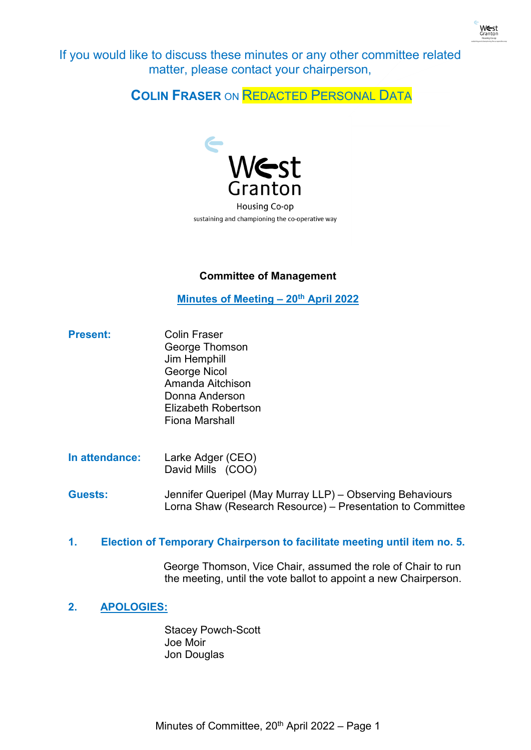

If you would like to discuss these minutes or any other committee related matter, please contact your chairperson,

**COLIN FRASER** ON REDACTED PERSONAL DATA



sustaining and championing the co-operative way

# **Committee of Management**

**Minutes of Meeting – 20th April 2022**

- Present: Colin Fraser George Thomson Jim Hemphill George Nicol Amanda Aitchison Donna Anderson Elizabeth Robertson Fiona Marshall
- **In attendance:** Larke Adger (CEO) David Mills (COO)

**Guests:** Jennifer Queripel (May Murray LLP) – Observing Behaviours Lorna Shaw (Research Resource) – Presentation to Committee

# **1. Election of Temporary Chairperson to facilitate meeting until item no. 5.**

George Thomson, Vice Chair, assumed the role of Chair to run the meeting, until the vote ballot to appoint a new Chairperson.

**2. APOLOGIES:**

Stacey Powch-Scott Joe Moir Jon Douglas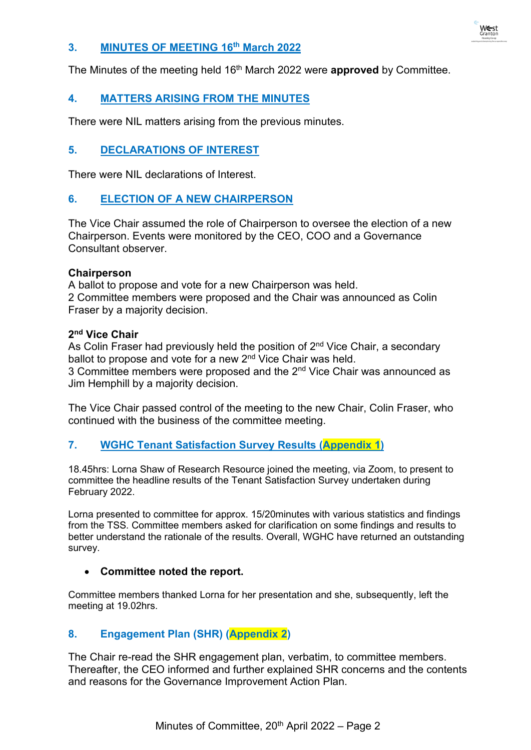

### **3. MINUTES OF MEETING 16th March 2022**

The Minutes of the meeting held 16th March 2022 were **approved** by Committee.

# **4. MATTERS ARISING FROM THE MINUTES**

There were NIL matters arising from the previous minutes.

### **5. DECLARATIONS OF INTEREST**

There were NIL declarations of Interest.

#### **6. ELECTION OF A NEW CHAIRPERSON**

The Vice Chair assumed the role of Chairperson to oversee the election of a new Chairperson. Events were monitored by the CEO, COO and a Governance Consultant observer.

#### **Chairperson**

A ballot to propose and vote for a new Chairperson was held. 2 Committee members were proposed and the Chair was announced as Colin Fraser by a majority decision.

#### **2nd Vice Chair**

As Colin Fraser had previously held the position of  $2<sup>nd</sup>$  Vice Chair, a secondary ballot to propose and vote for a new 2<sup>nd</sup> Vice Chair was held. 3 Committee members were proposed and the 2<sup>nd</sup> Vice Chair was announced as Jim Hemphill by a majority decision.

The Vice Chair passed control of the meeting to the new Chair, Colin Fraser, who continued with the business of the committee meeting.

#### **7. WGHC Tenant Satisfaction Survey Results (Appendix 1)**

18.45hrs: Lorna Shaw of Research Resource joined the meeting, via Zoom, to present to committee the headline results of the Tenant Satisfaction Survey undertaken during February 2022.

Lorna presented to committee for approx. 15/20minutes with various statistics and findings from the TSS. Committee members asked for clarification on some findings and results to better understand the rationale of the results. Overall, WGHC have returned an outstanding survey.

#### • **Committee noted the report.**

Committee members thanked Lorna for her presentation and she, subsequently, left the meeting at 19.02hrs.

# **8. Engagement Plan (SHR) (Appendix 2)**

The Chair re-read the SHR engagement plan, verbatim, to committee members. Thereafter, the CEO informed and further explained SHR concerns and the contents and reasons for the Governance Improvement Action Plan.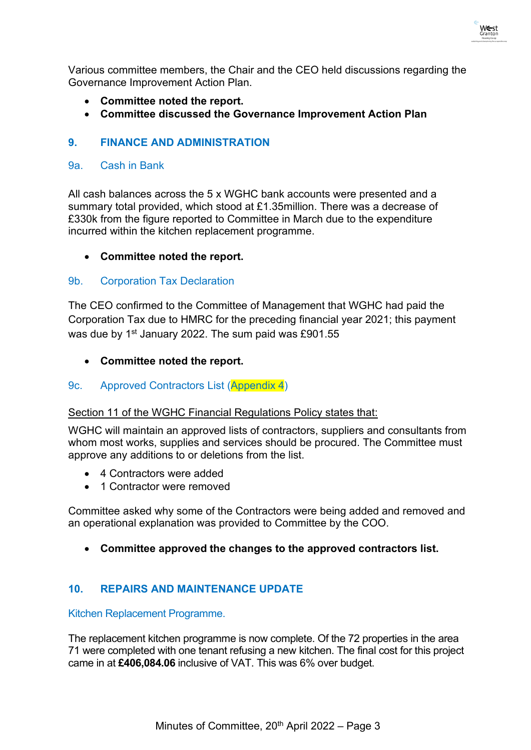Various committee members, the Chair and the CEO held discussions regarding the Governance Improvement Action Plan.

- **Committee noted the report.**
- **Committee discussed the Governance Improvement Action Plan**

# **9. FINANCE AND ADMINISTRATION**

# 9a. Cash in Bank

All cash balances across the 5 x WGHC bank accounts were presented and a summary total provided, which stood at £1.35million. There was a decrease of £330k from the figure reported to Committee in March due to the expenditure incurred within the kitchen replacement programme.

# • **Committee noted the report.**

### 9b. Corporation Tax Declaration

The CEO confirmed to the Committee of Management that WGHC had paid the Corporation Tax due to HMRC for the preceding financial year 2021; this payment was due by 1<sup>st</sup> January 2022. The sum paid was £901.55

### • **Committee noted the report.**

#### 9c. Approved Contractors List (Appendix 4)

#### Section 11 of the WGHC Financial Regulations Policy states that:

WGHC will maintain an approved lists of contractors, suppliers and consultants from whom most works, supplies and services should be procured. The Committee must approve any additions to or deletions from the list.

- 4 Contractors were added
- 1 Contractor were removed

Committee asked why some of the Contractors were being added and removed and an operational explanation was provided to Committee by the COO.

• **Committee approved the changes to the approved contractors list.**

# **10. REPAIRS AND MAINTENANCE UPDATE**

Kitchen Replacement Programme.

The replacement kitchen programme is now complete. Of the 72 properties in the area 71 were completed with one tenant refusing a new kitchen. The final cost for this project came in at **£406,084.06** inclusive of VAT. This was 6% over budget.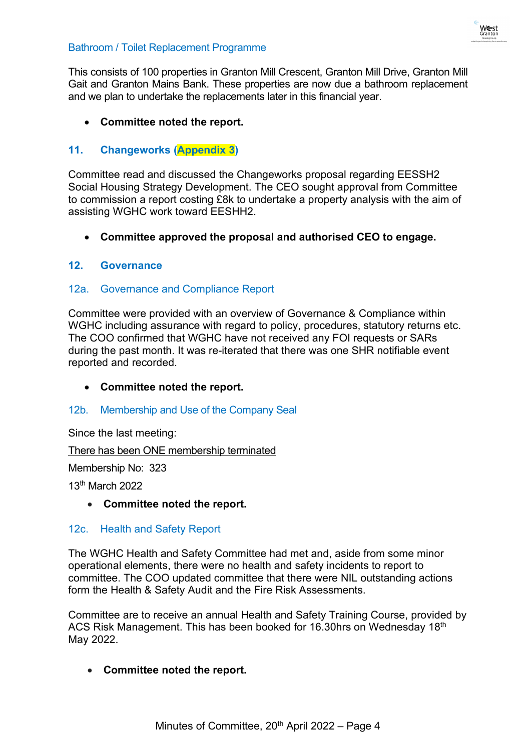

### Bathroom / Toilet Replacement Programme

This consists of 100 properties in Granton Mill Crescent, Granton Mill Drive, Granton Mill Gait and Granton Mains Bank. These properties are now due a bathroom replacement and we plan to undertake the replacements later in this financial year.

# • **Committee noted the report.**

# **11. Changeworks (Appendix 3)**

Committee read and discussed the Changeworks proposal regarding EESSH2 Social Housing Strategy Development. The CEO sought approval from Committee to commission a report costing £8k to undertake a property analysis with the aim of assisting WGHC work toward EESHH2.

• **Committee approved the proposal and authorised CEO to engage.**

#### **12. Governance**

### 12a. Governance and Compliance Report

Committee were provided with an overview of Governance & Compliance within WGHC including assurance with regard to policy, procedures, statutory returns etc. The COO confirmed that WGHC have not received any FOI requests or SARs during the past month. It was re-iterated that there was one SHR notifiable event reported and recorded.

# • **Committee noted the report.**

#### 12b. Membership and Use of the Company Seal

Since the last meeting:

There has been ONE membership terminated

Membership No: 323

13th March 2022

#### • **Committee noted the report.**

#### 12c. Health and Safety Report

The WGHC Health and Safety Committee had met and, aside from some minor operational elements, there were no health and safety incidents to report to committee. The COO updated committee that there were NIL outstanding actions form the Health & Safety Audit and the Fire Risk Assessments.

Committee are to receive an annual Health and Safety Training Course, provided by ACS Risk Management. This has been booked for 16.30hrs on Wednesday 18<sup>th</sup> May 2022.

# • **Committee noted the report.**